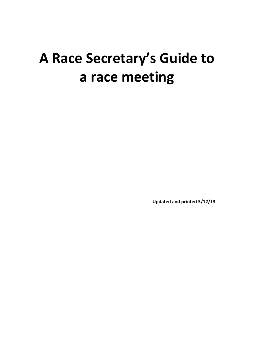# **A Race Secretary's Guide to a race meeting**

**Updated and printed 5/12/13**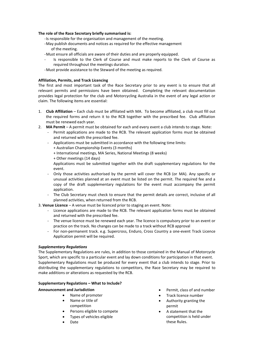## **The role of the Race Secretary briefly summarised is:**

- -Is responsible for the organisation and management of the meeting.
- -May publish documents and notices as required for the effective management of the meeting.
- -Must ensure all officials are aware of their duties and are properly equipped.
	- Is responsible to the Clerk of Course and must make reports to the Clerk of Course as required throughout the meetings duration.
- -Must provide assistance to the Steward of the meeting as required.

#### **Affiliation, Permits, and Track Licencing**

The first and most important task of the Race Secretary prior to any event is to ensure that all relevant permits and permissions have been obtained. Completing the relevant documentation provides legal protection for the club and Motorcycling Australia in the event of any legal action or claim. The following items are essential:

- 1. **Club Affiliation** Each club must be affiliated with MA. To become affiliated, a club must fill out the required forms and return it to the RCB together with the prescribed fee. Club affiliation must be renewed each year.
- 2. **MA Permit** A permit must be obtained for each and every event a club intends to stage. Note:
	- Permit applications are made to the RCB. The relevant application forms must be obtained and returned with the prescribed fee.
	- Applications must be submitted in accordance with the following time limits:
		- + Australian Championship Events (3 months)
		- + International meetings, MA Series, National Meetings (8 weeks)
		- + Other meetings (14 days)

Applications must be submitted together with the draft supplementary regulations for the event.

- Only those activities authorised by the permit will cover the RCB (or MA). Any specific or unusual activities planned at an event must be listed on the permit. The required fee and a copy of the draft supplementary regulations for the event must accompany the permit application.
- The Club Secretary must check to ensure that the permit details are correct, inclusive of all planned activities, when returned from the RCB.
- 3. **Venue Licence** A venue must be licenced prior to staging an event. Note:
	- Licence applications are made to the RCB. The relevant application forms must be obtained and returned with the prescribed fee.
	- The venue licence must be renewed each year. The licence is compulsory prior to an event or practice on the track. No changes can be made to a track without RCB approval
	- For non-permanent track. e.g. Supercross, Enduro, Cross Country a one-event Track Licence Application permit will be required.

#### *Supplementary Regulations*

The Supplementary Regulations are rules, in addition to those contained in the Manual of Motorcycle Sport, which are specific to a particular event and lay down conditions for participation in that event. Supplementary Regulations must be produced for every event that a club intends to stage. Prior to distributing the supplementary regulations to competitors, the Race Secretary may be required to make additions or alterations as requested by the RCB.

#### **Supplementary Regulations – What to Include?**

#### **Announcement and Jurisdiction**

- Name of promoter
- Name or title of competition
- Persons eligible to compete
- Types of vehicles eligible
- Date
- Permit, class of and number
- Track licence number
- Authority granting the permit
- A statement that the competition is held under these Rules.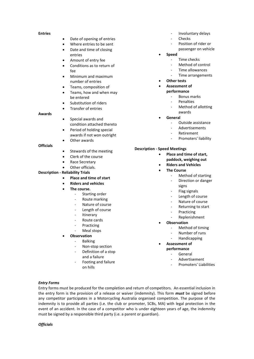#### **Entries**

- Date of opening of entries
- Where entries to be sent
- Date and time of closing entries
- Amount of entry fee
- Conditions as to return of  $f_{\mathbf{Q}}$
- Minimum and maximum number of entries
- Teams, composition of
- Teams, how and when may be entered
- Substitution of riders
- Transfer of entries

#### **Awards**

- Special awards and condition attached thereto
- Period of holding special awards if not won outright
- Other awards

## **Officials**

- Stewards of the meeting
- Clerk of the course
- Race Secretary
- Other officials.

## **Description - Reliability Trials**

## **Place and time of start**

- **Riders and vehicles**
- **The course.**
	- Starting order
	- Route marking
	- Nature of course
	- Length of course
	- **Itinerary**
	- Route cards
	- **Practicing**
	- Meal stops
	- **Observation**
		- Balking
		- Non-stop section
		- Definition of a stop
		- and a failure
		- Footing and failure on hills
- Involuntary delays
- **Checks**
- Position of rider or
- passenger on vehicle
- **Speed** Time checks
	- Method of control
	- Time allowances
	- Time arrangements
- **Other tests**
- **Assessment of** 
	- **performance**
		- Bonus marks
		- **Penalties**
		- Method of allotting
		- awards
- **General**
	- Outside assistance
	- **Advertisements**
	- Retirement
	- Promoters' liability

## **Description - Speed Meetings**

- **Place and time of start, paddock, weighing out**
- **Riders and Vehicles**
- **The Course**
	- Method of starting
	- Direction or danger signs
	- Flag signals
	- Length of course
	- Nature of course
	- Returning to start
	- Practicing
	- Replenishment
	- **Observation**
		- Method of timing
		- Number of runs
		- **Handicapping**
- **Assessment of** 
	- **performance**
		- **General**
		- Advertisement
		- Promoters' Liabilities

#### *Entry Forms*

Entry forms must be produced for the completion and return of competitors. An essential inclusion in the entry form is the provision of a release or waiver (indemnity). This form *must* be signed before any competitor participates in a Motorcycling Australia organised competition. The purpose of the indemnity is to provide all parties (i.e. the club or promoter, SCBs, MA) with legal protection in the event of an accident. In the case of a competitor who is under eighteen years of age, the indemnity must be signed by a responsible third party (i.e. a parent or guardian).

#### *Officials*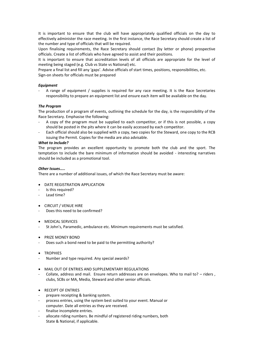It is important to ensure that the club will have appropriately qualified officials on the day to effectively administer the race meeting. In the first instance, the Race Secretary should create a list of the number and type of officials that will be required.

Upon finalising requirements, the Race Secretary should contact (by letter or phone) prospective officials. Create a list of officials who have agreed to assist and their positions.

It is important to ensure that accreditation levels of all officials are appropriate for the level of meeting being staged (e.g. Club vs State vs National) etc.

Prepare a final list and fill any 'gaps'. Advise officials of start times, positions, responsibilities, etc. Sign-on sheets for officials must be prepared

#### *Equipment*

A range of equipment / supplies is required for any race meeting. It is the Race Secretaries responsibility to prepare an equipment list and ensure each item will be available on the day.

## *The Program*

The production of a program of events, outlining the schedule for the day, is the responsibility of the Race Secretary. Emphasise the following:

- A copy of the program must be supplied to each competitor, or if this is not possible, a copy should be posted in the pits where it can be easily accessed by each competitor.
- Each official should also be supplied with a copy, two copies for the Steward, one copy to the RCB issuing the Permit. Copies for the media are also advisable.

## *What to include?*

The program provides an excellent opportunity to promote both the club and the sport. The temptation to include the bare minimum of information should be avoided - interesting narratives should be included as a promotional tool.

## *Other Issues…..*

There are a number of additional issues, of which the Race Secretary must be aware:

- **DATE REGISTRATION APPLICATION**
- Is this required?
- Lead time?
- CIRCUIT / VENUE HIRE
- Does this need to be confirmed?
- **MEDICAL SERVICES**
- St John's, Paramedic, ambulance etc. Minimum requirements must be satisfied.
- PRIZE MONEY BOND
- Does such a bond need to be paid to the permitting authority?
- **TROPHIES**
- Number and type required. Any special awards?
- MAIL OUT OF ENTRIES AND SUPPLEMENTARY REGULATIONS
- Collate, address and mail. Ensure return addresses are on envelopes. Who to mail to? riders , clubs, SCBs or MA, Media, Steward and other senior officials.
- **RECEIPT OF ENTRIES**
- prepare receipting & banking system.
- process entries, using the system best suited to your event. Manual or computer. Date all entries as they are received.
- finalise incomplete entries.
- allocate riding numbers. Be mindful of registered riding numbers, both State & National, if applicable.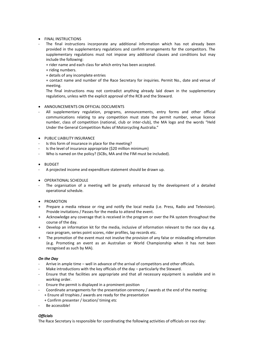# **•** FINAL INSTRUCTIONS

The final instructions incorporate any additional information which has not already been provided in the supplementary regulations and confirm arrangements for the competitors. The supplementary regulations must not impose any additional clauses and conditions but may include the following:

+ rider name and each class for which entry has been accepted.

- + riding numbers.
- + details of any incomplete entries

+ contact name and number of the Race Secretary for inquiries. Permit No., date and venue of meeting.

The final instructions may not contradict anything already laid down in the supplementary regulations, unless with the explicit approval of the RCB and the Steward.

## ANNOUNCEMENTS ON OFFICIAL DOCUMENTS

- All supplementary regulation, programs, announcements, entry forms and other official communications relating to any competition must state the permit number, venue licence number, class of competition (national, club or inter-club), the MA logo and the words "Held Under the General Competition Rules of Motorcycling Australia."
- **PUBLIC LIABILITY INSURANCE**
- Is this form of insurance in place for the meeting?
- Is the level of insurance appropriate (\$20 million minimum)
- Who is named on the policy? (SCBs, MA and the FIM must be included).
- BUDGET
- A projected income and expenditure statement should be drawn up.
- OPERATIONAL SCHEDULE
- The organisation of a meeting will be greatly enhanced by the development of a detailed operational schedule.
- PROMOTION
- + Prepare a media release or ring and notify the local media (i.e. Press, Radio and Television). Provide invitations / Passes for the media to attend the event.
- + Acknowledge any coverage that is received in the program or over the PA system throughout the course of the day.
- + Develop an information kit for the media, inclusive of information relevant to the race day e.g. race program, series point scores, rider profiles, lap records etc.
- + The promotion of the event must not involve the provision of any false or misleading information (e.g. Promoting an event as an Australian or World Championship when it has not been recognised as such by MA).

## *On the Day*

- Arrive in ample time well in advance of the arrival of competitors and other officials.
- Make introductions with the key officials of the day particularly the Steward.
- Ensure that the facilities are appropriate and that all necessary equipment is available and in working order.
- Ensure the permit is displayed in a prominent position
- Coordinate arrangements for the presentation ceremony / awards at the end of the meeting: + Ensure all trophies / awards are ready for the presentation
	- + Confirm presenter / location/ timing etc
- Be accessible!

## *Officials*

The Race Secretary is responsible for coordinating the following activities of officials on race day: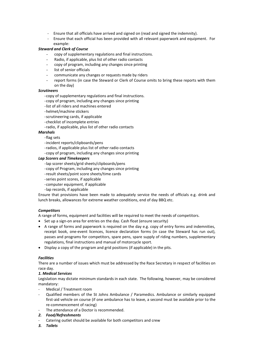- Ensure that all officials have arrived and signed on (read and signed the indemnity).
- Ensure that each official has been provided with all relevant paperwork and equipment. For example:

# *Steward and Clerk of Course*

- copy of supplementary regulations and final instructions.
- Radio, if applicable, plus list of other radio contacts
- copy of program, including any changes since printing
- list of senior officials
- communicate any changes or requests made by riders
- report forms (in case the Steward or Clerk of Course omits to bring these reports with them on the day)

# *Scrutineers*

-copy of supplementary regulations and final instructions.

- -copy of program, including any changes since printing
- -list of all riders and machines entered
- -helmet/machine stickers
- -scrutineering cards, if applicable
- -checklist of incomplete entries

-radio, if applicable, plus list of other radio contacts

# *Marshals*

- -flag sets
- -incident reports/clipboards/pens
- -radios, if applicable plus list of other radio contacts
- -copy of program, including any changes since printing

# *Lap Scorers and Timekeepers*

- -lap scorer sheets/grid sheets/clipboards/pens
- -copy of Program, including any changes since printing
- -result sheets/point score sheets/time cards
- -series point scores, if applicable
- -computer equipment, if applicable
- -lap records, if applicable

Ensure that provisions have been made to adequately service the needs of officials e.g. drink and lunch breaks, allowances for extreme weather conditions, end of day BBQ etc.

## *Competitors*

A range of forms, equipment and facilities will be required to meet the needs of competitors.

- Set up a sign-on area for entries on the day. Cash float (ensure security)
- A range of forms and paperwork is required on the day e.g. copy of entry forms and indemnities, receipt book, one-event licences, licence declaration forms (in case the Steward has run out), passes and programs for competitors, spare pens, spare supply of riding numbers, supplementary regulations, final instructions and manual of motorcycle sport.
- Display a copy of the program and grid positions (if applicable) in the pits.

# *Facilities*

There are a number of issues which must be addressed by the Race Secretary in respect of facilities on race day.

# *1. Medical Services*

Legislation may dictate minimum standards in each state. The following, however, may be considered mandatory:

- Medical / Treatment room
- Qualified members of the St Johns Ambulance / Paramedics. Ambulance or similarly equipped first-aid vehicle on course (if one ambulance has to leave, a second must be available prior to the re-commencement of racing)
- The attendance of a Doctor is recommended.
- *2. Food/Refreshments*
- Catering outlet should be available for both competitors and crew
- *3. Toilets*